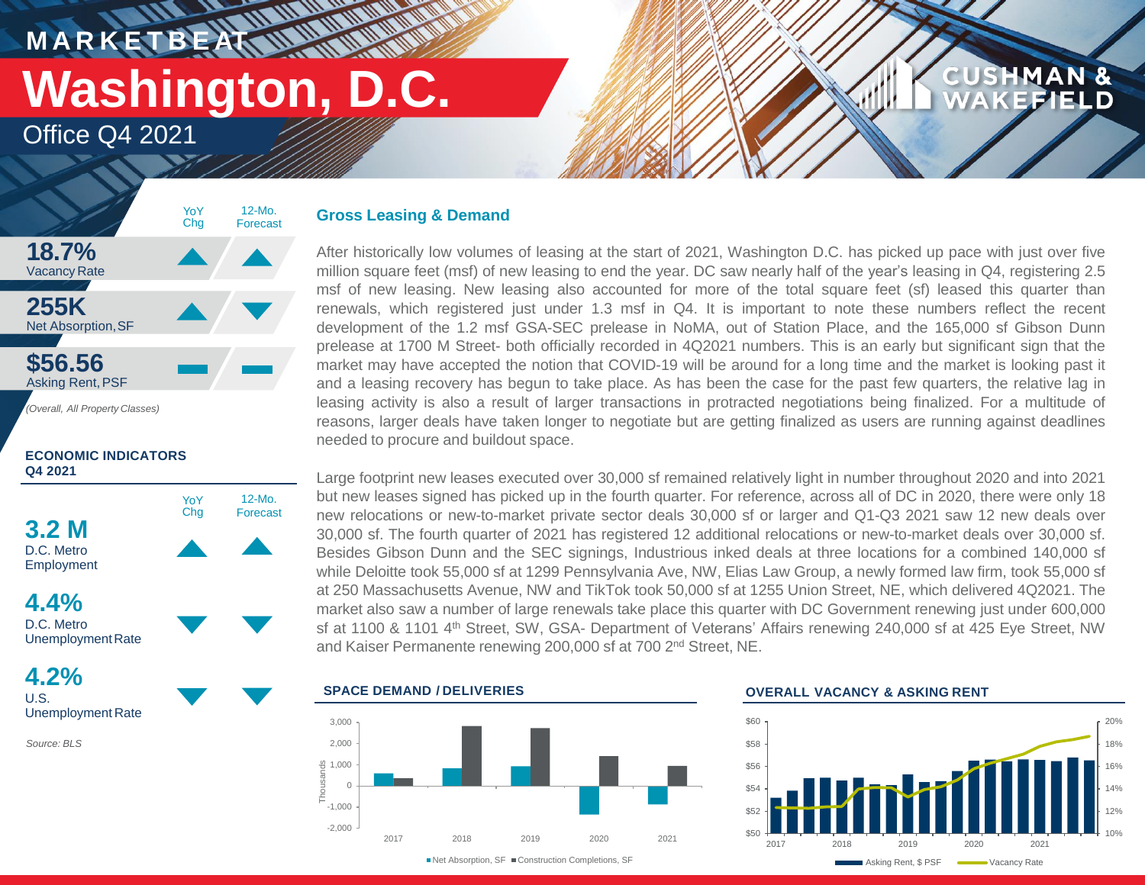**M A R K E T B E AT**

# **Washington, D.C.**

 $M$  M  $_{\rm m}$ 

**IT UN INTENDED** 

Office Q4 2021



**ECONOMIC INDICATORS Q4 2021**



**4.2%** U.S. Unemployment Rate

*Source: BLS*

### **Gross Leasing & Demand**

After historically low volumes of leasing at the start of 2021, Washington D.C. has picked up pace with just over five million square feet (msf) of new leasing to end the year. DC saw nearly half of the year's leasing in Q4, registering 2.5 msf of new leasing. New leasing also accounted for more of the total square feet (sf) leased this quarter than renewals, which registered just under 1.3 msf in Q4. It is important to note these numbers reflect the recent development of the 1.2 msf GSA-SEC prelease in NoMA, out of Station Place, and the 165,000 sf Gibson Dunn prelease at 1700 M Street- both officially recorded in 4Q2021 numbers. This is an early but significant sign that the market may have accepted the notion that COVID-19 will be around for a long time and the market is looking past it and a leasing recovery has begun to take place. As has been the case for the past few quarters, the relative lag in leasing activity is also a result of larger transactions in protracted negotiations being finalized. For a multitude of reasons, larger deals have taken longer to negotiate but are getting finalized as users are running against deadlines needed to procure and buildout space.

Large footprint new leases executed over 30,000 sf remained relatively light in number throughout 2020 and into 2021 but new leases signed has picked up in the fourth quarter. For reference, across all of DC in 2020, there were only 18 new relocations or new-to-market private sector deals 30,000 sf or larger and Q1-Q3 2021 saw 12 new deals over 30,000 sf. The fourth quarter of 2021 has registered 12 additional relocations or new-to-market deals over 30,000 sf. Besides Gibson Dunn and the SEC signings, Industrious inked deals at three locations for a combined 140,000 sf while Deloitte took 55,000 sf at 1299 Pennsylvania Ave, NW, Elias Law Group, a newly formed law firm, took 55,000 sf at 250 Massachusetts Avenue, NW and TikTok took 50,000 sf at 1255 Union Street, NE, which delivered 4Q2021. The market also saw a number of large renewals take place this quarter with DC Government renewing just under 600,000 sf at 1100 & 1101 4<sup>th</sup> Street, SW, GSA- Department of Veterans' Affairs renewing 240,000 sf at 425 Eye Street, NW and Kaiser Permanente renewing 200,000 sf at 700 2 nd Street, NE.





■Net Absorption, SF ■ Construction Completions, SF

### **OVERALL VACANCY & ASKING RENT**



**CUSHMAN &** 

**EFIELD**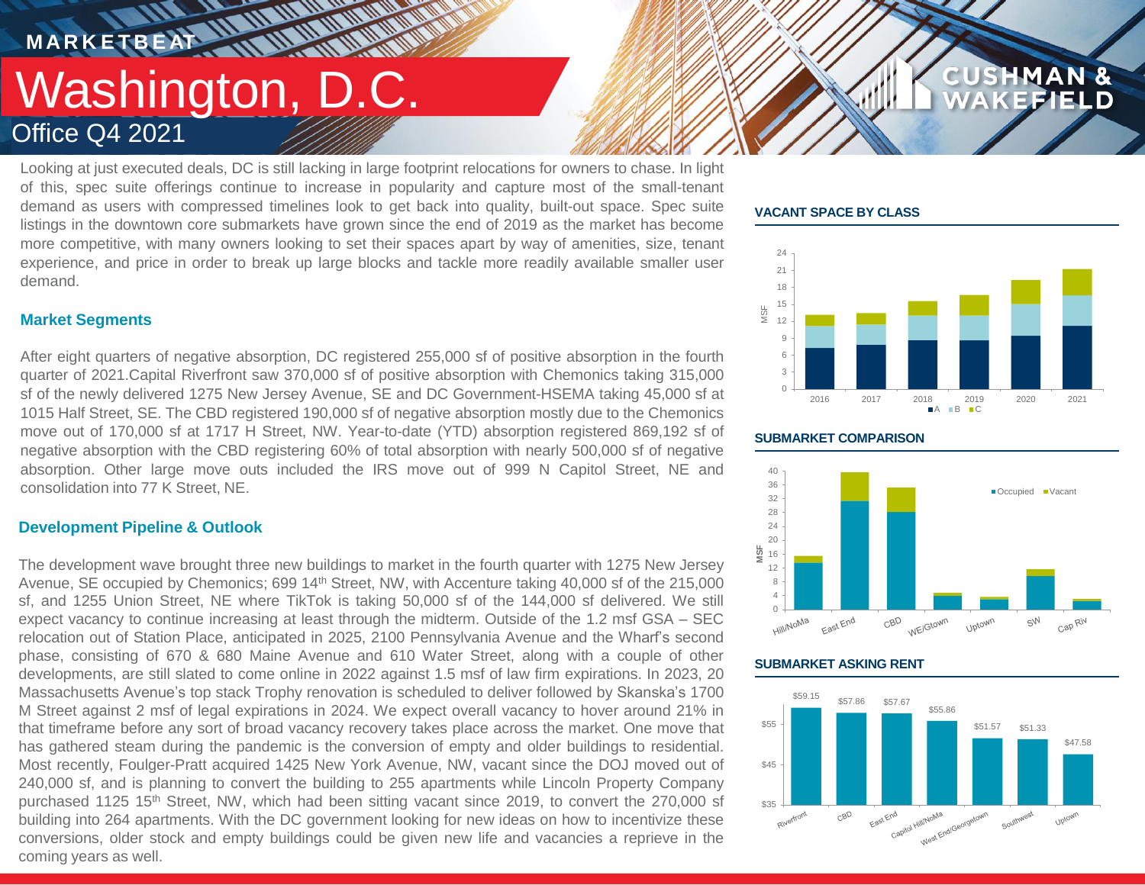### **MARKETBEAT 11 MMWWWW THE AN AN ANTIQUE** Washington, D.C. Office Q4 2021

Looking at just executed deals, DC is still lacking in large footprint relocations for owners to chase. In light of this, spec suite offerings continue to increase in popularity and capture most of the small-tenant demand as users with compressed timelines look to get back into quality, built-out space. Spec suite listings in the downtown core submarkets have grown since the end of 2019 as the market has become more competitive, with many owners looking to set their spaces apart by way of amenities, size, tenant experience, and price in order to break up large blocks and tackle more readily available smaller user demand.

### **VACANT SPACE BY CLASS**



**CUSHMAN &** 

FFIELD

### **Market Segments**

After eight quarters of negative absorption, DC registered 255,000 sf of positive absorption in the fourth quarter of 2021.Capital Riverfront saw 370,000 sf of positive absorption with Chemonics taking 315,000 sf of the newly delivered 1275 New Jersey Avenue, SE and DC Government-HSEMA taking 45,000 sf at 1015 Half Street, SE. The CBD registered 190,000 sf of negative absorption mostly due to the Chemonics move out of 170,000 sf at 1717 H Street, NW. Year-to-date (YTD) absorption registered 869,192 sf of negative absorption with the CBD registering 60% of total absorption with nearly 500,000 sf of negative absorption. Other large move outs included the IRS move out of 999 N Capitol Street, NE and consolidation into 77 K Street, NE.

### **Development Pipeline & Outlook**

The development wave brought three new buildings to market in the fourth quarter with 1275 New Jersey Avenue, SE occupied by Chemonics; 699 14<sup>th</sup> Street, NW, with Accenture taking 40,000 sf of the 215,000 sf, and 1255 Union Street, NE where TikTok is taking 50,000 sf of the 144,000 sf delivered. We still expect vacancy to continue increasing at least through the midterm. Outside of the 1.2 msf GSA – SEC relocation out of Station Place, anticipated in 2025, 2100 Pennsylvania Avenue and the Wharf's second phase, consisting of 670 & 680 Maine Avenue and 610 Water Street, along with a couple of other developments, are still slated to come online in 2022 against 1.5 msf of law firm expirations. In 2023, 20 Massachusetts Avenue's top stack Trophy renovation is scheduled to deliver followed by Skanska's 1700 M Street against 2 msf of legal expirations in 2024. We expect overall vacancy to hover around 21% in that timeframe before any sort of broad vacancy recovery takes place across the market. One move that has gathered steam during the pandemic is the conversion of empty and older buildings to residential. Most recently, Foulger-Pratt acquired 1425 New York Avenue, NW, vacant since the DOJ moved out of 240,000 sf, and is planning to convert the building to 255 apartments while Lincoln Property Company purchased 1125 15<sup>th</sup> Street, NW, which had been sitting vacant since 2019, to convert the 270,000 sf building into 264 apartments. With the DC government looking for new ideas on how to incentivize these conversions, older stock and empty buildings could be given new life and vacancies a reprieve in the coming years as well.

### **SUBMARKET COMPARISON**



### **SUBMARKET ASKING RENT**

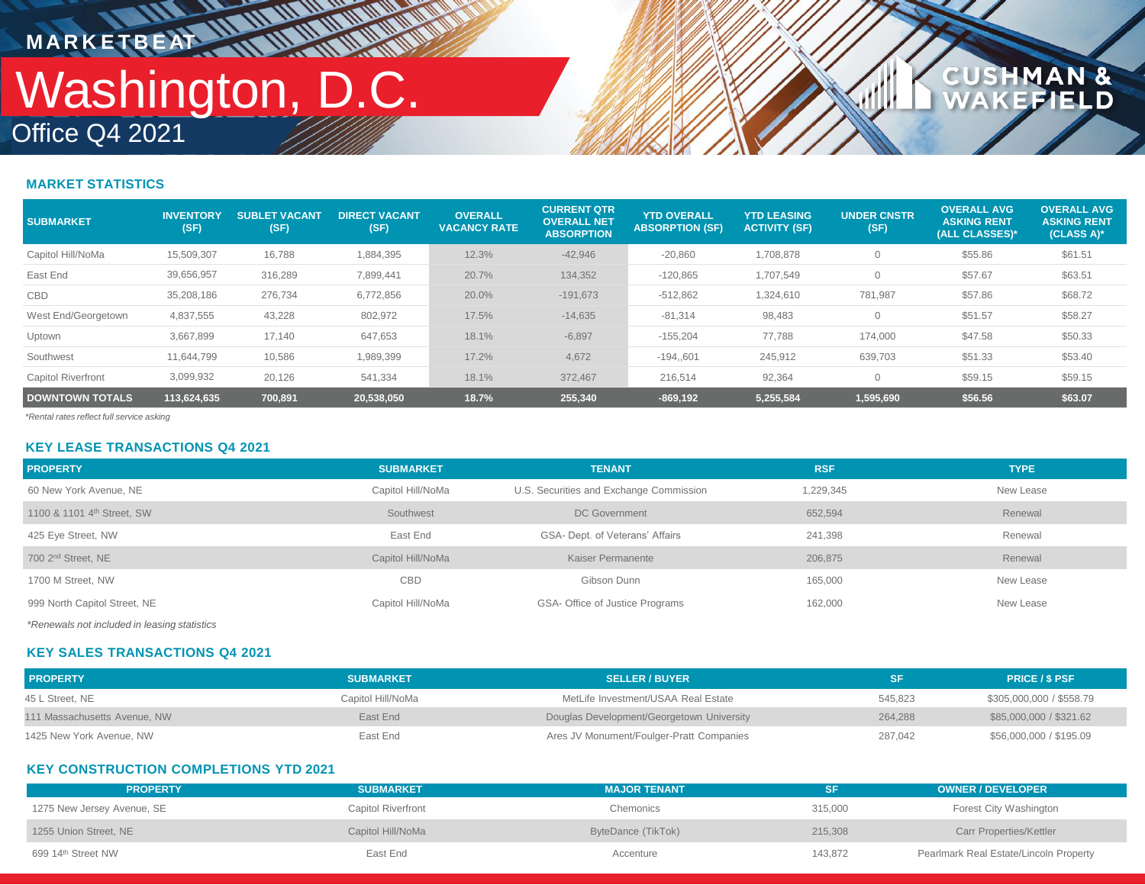## Office Q4 2021 Washington, D.C. **MARKETBEAT ALAMAN**

**WWW** 

### **CUSHMAN &<br>WAKEFIELD**

### **MARKET STATISTICS**

| <b>SUBMARKET</b>          | <b>INVENTORY</b><br>(SF) | <b>SUBLET VACANT</b><br>(SF) | <b>DIRECT VACANT</b><br>(SF) | <b>OVERALL</b><br><b>VACANCY RATE</b> | <b>CURRENT QTR</b><br><b>OVERALL NET</b><br><b>ABSORPTION</b> | <b>YTD OVERALL</b><br><b>ABSORPTION (SF)</b> | <b>YTD LEASING</b><br><b>ACTIVITY (SF)</b> | <b>UNDER CNSTR</b><br>(SF) | <b>OVERALL AVG.</b><br><b>ASKING RENT</b><br>(ALL CLASSES)* | <b>OVERALL AVG</b><br><b>ASKING RENT</b><br>(CLASS A)* |
|---------------------------|--------------------------|------------------------------|------------------------------|---------------------------------------|---------------------------------------------------------------|----------------------------------------------|--------------------------------------------|----------------------------|-------------------------------------------------------------|--------------------------------------------------------|
| Capitol Hill/NoMa         | 15,509,307               | 16,788                       | 1,884,395                    | 12.3%                                 | $-42,946$                                                     | $-20,860$                                    | 1,708,878                                  |                            | \$55.86                                                     | \$61.51                                                |
| East End                  | 39,656,957               | 316,289                      | 7,899,441                    | 20.7%                                 | 134,352                                                       | $-120,865$                                   | 1,707,549                                  |                            | \$57.67                                                     | \$63.51                                                |
| <b>CBD</b>                | 35,208,186               | 276,734                      | 6,772,856                    | 20.0%                                 | $-191,673$                                                    | $-512,862$                                   | 1,324,610                                  | 781,987                    | \$57.86                                                     | \$68.72                                                |
| West End/Georgetown       | 4,837,555                | 43,228                       | 802,972                      | 17.5%                                 | $-14,635$                                                     | $-81,314$                                    | 98,483                                     |                            | \$51.57                                                     | \$58.27                                                |
| Uptown                    | 3,667,899                | 17,140                       | 647,653                      | 18.1%                                 | $-6,897$                                                      | $-155,204$                                   | 77.788                                     | 174,000                    | \$47.58                                                     | \$50.33                                                |
| Southwest                 | 11.644.799               | 10,586                       | 1,989,399                    | 17.2%                                 | 4,672                                                         | $-194,601$                                   | 245,912                                    | 639,703                    | \$51.33                                                     | \$53.40                                                |
| <b>Capitol Riverfront</b> | 3,099,932                | 20,126                       | 541,334                      | 18.1%                                 | 372,467                                                       | 216,514                                      | 92,364                                     |                            | \$59.15                                                     | \$59.15                                                |
| <b>DOWNTOWN TOTALS</b>    | 113.624.635              | 700.891                      | 20.538.050                   | 18.7%                                 | 255,340                                                       | $-869, 192$                                  | 5,255,584                                  | 1,595,690                  | \$56.56                                                     | \$63.07                                                |

*\*Rental rates reflect full service asking*

### **KEY LEASE TRANSACTIONS Q4 2021**

| <b>PROPERTY</b>                                                  | <b>SUBMARKET</b>  | <b>TENANT</b>                           | <b>RSF</b> | <b>TYPE</b> |
|------------------------------------------------------------------|-------------------|-----------------------------------------|------------|-------------|
| 60 New York Avenue, NE                                           | Capitol Hill/NoMa | U.S. Securities and Exchange Commission | 1,229,345  | New Lease   |
| 1100 & 1101 4th Street, SW                                       | Southwest         | DC Government                           | 652,594    | Renewal     |
| 425 Eye Street, NW                                               | East End          | GSA- Dept. of Veterans' Affairs         | 241,398    | Renewal     |
| 700 2 <sup>nd</sup> Street, NE                                   | Capitol Hill/NoMa | Kaiser Permanente                       | 206,875    | Renewal     |
| 1700 M Street, NW                                                | <b>CBD</b>        | Gibson Dunn                             | 165,000    | New Lease   |
| 999 North Capitol Street, NE                                     | Capitol Hill/NoMa | GSA- Office of Justice Programs         | 162,000    | New Lease   |
| . * De a concele presidenti alcosteratore de la concele del dece |                   |                                         |            |             |

*\*Renewals not included in leasing statistics*

### **KEY SALES TRANSACTIONS Q4 2021**

| <b>PROPERTY</b>              | <b>SUBMARKET</b>  | <b>SELLER / BUYER</b>                     |         | <b>PRICE / \$ PSF</b>    |
|------------------------------|-------------------|-------------------------------------------|---------|--------------------------|
| 45 L Street, NE              | Capitol Hill/NoMa | MetLife Investment/USAA Real Estate       | 545.823 | \$305,000,000 / \$558.79 |
| 111 Massachusetts Avenue, NW | East End          | Douglas Development/Georgetown University | 264.288 | \$85,000,000 / \$321.62  |
| 1425 New York Avenue, NW     | East End          | Ares JV Monument/Foulger-Pratt Companies  | 287.042 | \$56,000,000 / \$195.09  |

### **KEY CONSTRUCTION COMPLETIONS YTD 2021**

| <b>PROPERTY</b>                | <b>SUBMARKET</b>   | <b>MAJOR TENANT</b> | SF      | <b>OWNER / DEVELOPER</b>               |
|--------------------------------|--------------------|---------------------|---------|----------------------------------------|
| 1275 New Jersey Avenue, SE     | Capitol Riverfront | Chemonics           | 315,000 | Forest City Washington                 |
| 1255 Union Street. NE          | Capitol Hill/NoMa  | ByteDance (TikTok)  | 215,308 | Carr Properties/Kettler                |
| 699 14 <sup>th</sup> Street NW | East End           | Accenture           | 143,872 | Pearlmark Real Estate/Lincoln Property |